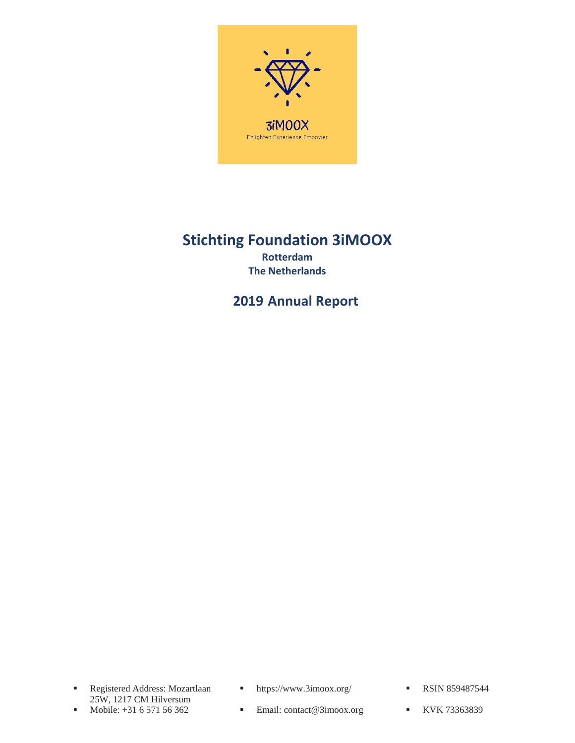

## **Stichting Foundation 3iMOOX Rotterdam The Netherlands**

**2019 Annual Report**

- Registered Address: Mozartlaan 25W, 1217 CM Hilversum<br>Mobile: +31 6 571 56 362
- 
- https://www.3imoox.org/ RSIN 859487544
	-
- Mobile: +31 6 571 56 362 Email: contact@3imoox.org KVK 73363839
-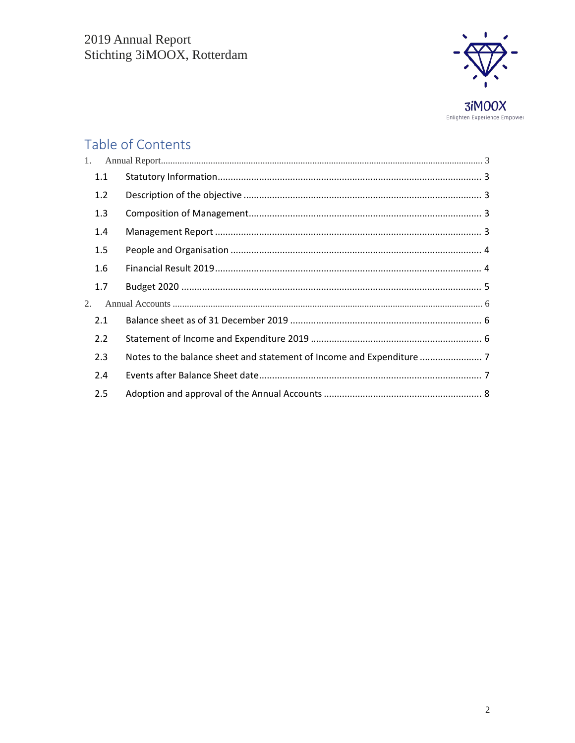

# Table of Contents

| 1. |     |  |
|----|-----|--|
|    | 1.1 |  |
|    | 1.2 |  |
|    | 1.3 |  |
|    | 1.4 |  |
|    | 1.5 |  |
|    | 1.6 |  |
|    | 1.7 |  |
| 2. |     |  |
|    | 2.1 |  |
|    | 2.2 |  |
|    | 2.3 |  |
|    | 2.4 |  |
|    | 2.5 |  |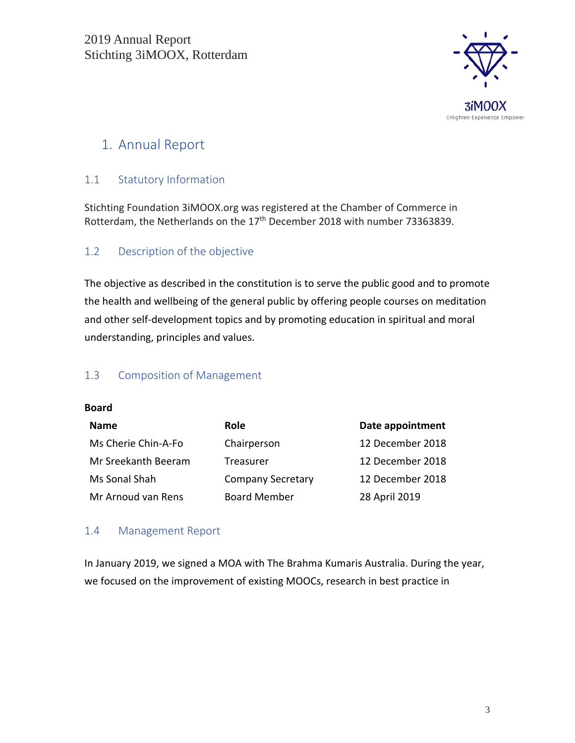

## <span id="page-2-0"></span>1. Annual Report

## <span id="page-2-1"></span>1.1 Statutory Information

Stichting Foundation 3iMOOX.org was registered at the Chamber of Commerce in Rotterdam, the Netherlands on the 17<sup>th</sup> December 2018 with number 73363839.

### <span id="page-2-2"></span>1.2 Description of the objective

The objective as described in the constitution is to serve the public good and to promote the health and wellbeing of the general public by offering people courses on meditation and other self-development topics and by promoting education in spiritual and moral understanding, principles and values.

### <span id="page-2-3"></span>1.3 Composition of Management

#### **Board**

| <b>Name</b>         | <b>Role</b>              | Date appointment |
|---------------------|--------------------------|------------------|
| Ms Cherie Chin-A-Fo | Chairperson              | 12 December 2018 |
| Mr Sreekanth Beeram | Treasurer                | 12 December 2018 |
| Ms Sonal Shah       | <b>Company Secretary</b> | 12 December 2018 |
| Mr Arnoud van Rens  | <b>Board Member</b>      | 28 April 2019    |

#### <span id="page-2-4"></span>1.4 Management Report

In January 2019, we signed a MOA with The Brahma Kumaris Australia. During the year, we focused on the improvement of existing MOOCs, research in best practice in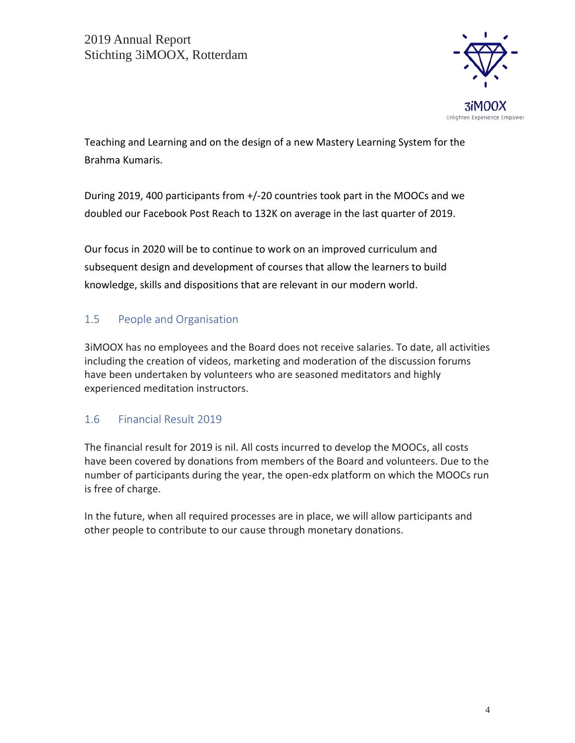

Teaching and Learning and on the design of a new Mastery Learning System for the Brahma Kumaris.

During 2019, 400 participants from +/-20 countries took part in the MOOCs and we doubled our Facebook Post Reach to 132K on average in the last quarter of 2019.

Our focus in 2020 will be to continue to work on an improved curriculum and subsequent design and development of courses that allow the learners to build knowledge, skills and dispositions that are relevant in our modern world.

## <span id="page-3-0"></span>1.5 People and Organisation

3iMOOX has no employees and the Board does not receive salaries. To date, all activities including the creation of videos, marketing and moderation of the discussion forums have been undertaken by volunteers who are seasoned meditators and highly experienced meditation instructors.

## <span id="page-3-1"></span>1.6 Financial Result 2019

The financial result for 2019 is nil. All costs incurred to develop the MOOCs, all costs have been covered by donations from members of the Board and volunteers. Due to the number of participants during the year, the open-edx platform on which the MOOCs run is free of charge.

In the future, when all required processes are in place, we will allow participants and other people to contribute to our cause through monetary donations.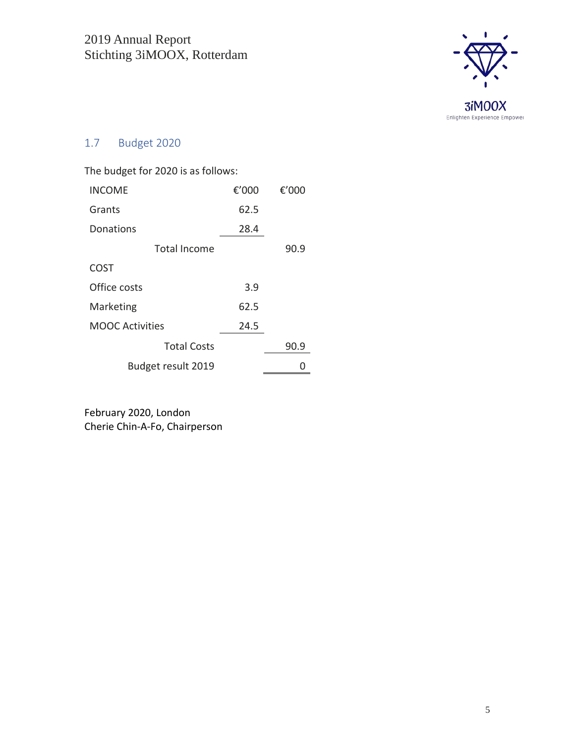

## <span id="page-4-0"></span>1.7 Budget 2020

| The budget for 2020 is as follows: |       |       |  |
|------------------------------------|-------|-------|--|
| <b>INCOME</b>                      | €'000 | €'000 |  |
| Grants                             | 62.5  |       |  |
| Donations                          | 28.4  |       |  |
| Total Income                       |       | 90.9  |  |
| COST                               |       |       |  |
| Office costs                       | 3.9   |       |  |
| Marketing                          | 62.5  |       |  |
| MOOC Activities                    | 24.5  |       |  |
| <b>Total Costs</b>                 |       | 90.9  |  |
| Budget result 2019                 |       |       |  |

February 2020, London Cherie Chin-A-Fo, Chairperson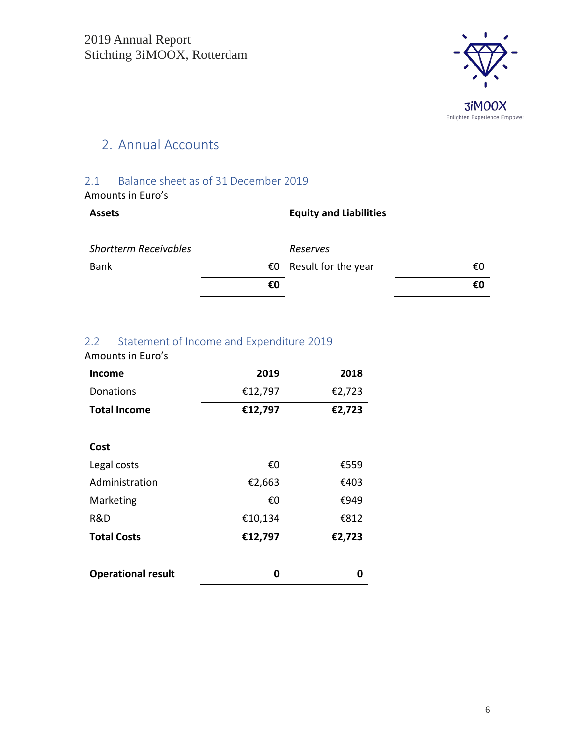

## <span id="page-5-0"></span>2. Annual Accounts

### <span id="page-5-1"></span>2.1 Balance sheet as of 31 December 2019 Amounts in Euro's

| <b>Assets</b>                |    | <b>Equity and Liabilities</b> |    |
|------------------------------|----|-------------------------------|----|
| <b>Shortterm Receivables</b> |    | Reserves                      |    |
| <b>Bank</b>                  | €0 | Result for the year           | €0 |
|                              | €0 |                               | €0 |

## <span id="page-5-2"></span>2.2 Statement of Income and Expenditure 2019

Amounts in Euro's

| Income                    | 2019    | 2018   |
|---------------------------|---------|--------|
| Donations                 | €12,797 | €2,723 |
| <b>Total Income</b>       | €12,797 | €2,723 |
|                           |         |        |
| Cost                      |         |        |
| Legal costs               | €0      | €559   |
| Administration            | €2,663  | €403   |
| Marketing                 | €0      | €949   |
| R&D                       | €10,134 | €812   |
| <b>Total Costs</b>        | €12,797 | €2,723 |
|                           |         |        |
| <b>Operational result</b> | ω       | Λ      |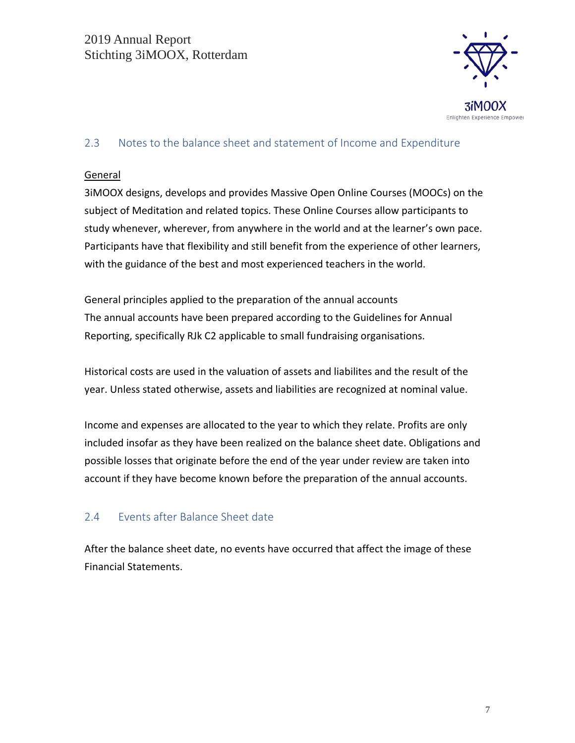

### <span id="page-6-0"></span>2.3 Notes to the balance sheet and statement of Income and Expenditure

#### **General**

3iMOOX designs, develops and provides Massive Open Online Courses (MOOCs) on the subject of Meditation and related topics. These Online Courses allow participants to study whenever, wherever, from anywhere in the world and at the learner's own pace. Participants have that flexibility and still benefit from the experience of other learners, with the guidance of the best and most experienced teachers in the world.

General principles applied to the preparation of the annual accounts The annual accounts have been prepared according to the Guidelines for Annual Reporting, specifically RJk C2 applicable to small fundraising organisations.

Historical costs are used in the valuation of assets and liabilites and the result of the year. Unless stated otherwise, assets and liabilities are recognized at nominal value.

Income and expenses are allocated to the year to which they relate. Profits are only included insofar as they have been realized on the balance sheet date. Obligations and possible losses that originate before the end of the year under review are taken into account if they have become known before the preparation of the annual accounts.

## <span id="page-6-1"></span>2.4 Events after Balance Sheet date

After the balance sheet date, no events have occurred that affect the image of these Financial Statements.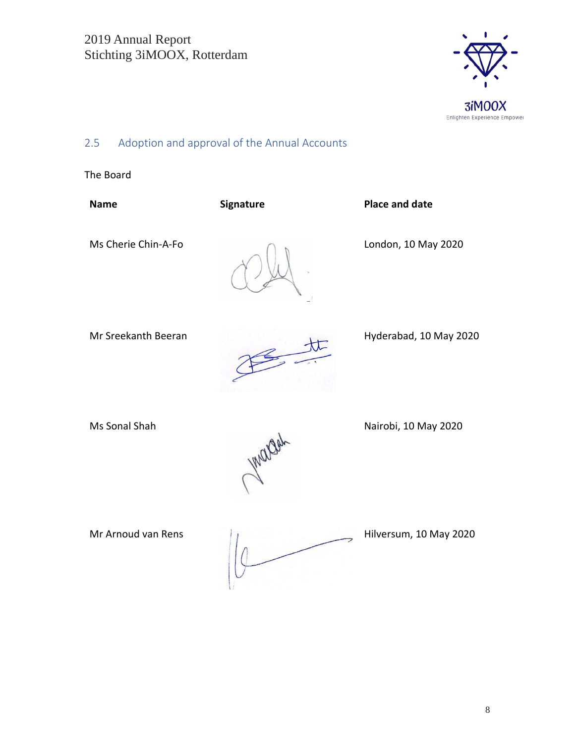

## <span id="page-7-0"></span>2.5 Adoption and approval of the Annual Accounts

The Board

| <b>Name</b>         | Signature | <b>Place and date</b>  |
|---------------------|-----------|------------------------|
| Ms Cherie Chin-A-Fo | J.        | London, 10 May 2020    |
| Mr Sreekanth Beeran |           | Hyderabad, 10 May 2020 |
| Ms Sonal Shah       | Wargah    | Nairobi, 10 May 2020   |

Mr Arnoud van Rens  $\frac{1}{1}$